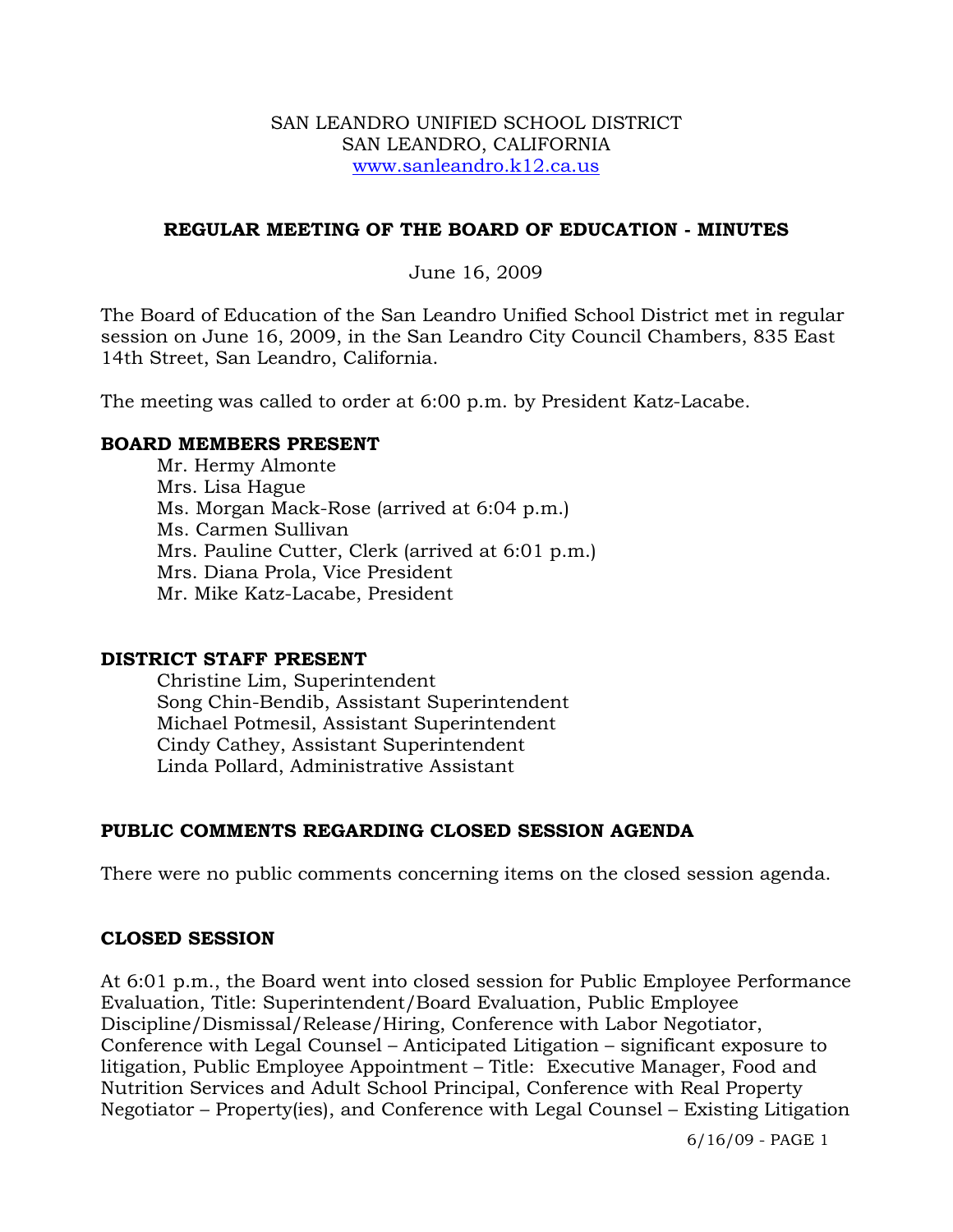#### SAN LEANDRO UNIFIED SCHOOL DISTRICT SAN LEANDRO, CALIFORNIA www.sanleandro.k12.ca.us

### **REGULAR MEETING OF THE BOARD OF EDUCATION - MINUTES**

### June 16, 2009

The Board of Education of the San Leandro Unified School District met in regular session on June 16, 2009, in the San Leandro City Council Chambers, 835 East 14th Street, San Leandro, California.

The meeting was called to order at 6:00 p.m. by President Katz-Lacabe.

### **BOARD MEMBERS PRESENT**

Mr. Hermy Almonte Mrs. Lisa Hague Ms. Morgan Mack-Rose (arrived at 6:04 p.m.) Ms. Carmen Sullivan Mrs. Pauline Cutter, Clerk (arrived at 6:01 p.m.) Mrs. Diana Prola, Vice President Mr. Mike Katz-Lacabe, President

#### **DISTRICT STAFF PRESENT**

Christine Lim, Superintendent Song Chin-Bendib, Assistant Superintendent Michael Potmesil, Assistant Superintendent Cindy Cathey, Assistant Superintendent Linda Pollard, Administrative Assistant

## **PUBLIC COMMENTS REGARDING CLOSED SESSION AGENDA**

There were no public comments concerning items on the closed session agenda.

#### **CLOSED SESSION**

At 6:01 p.m., the Board went into closed session for Public Employee Performance Evaluation, Title: Superintendent/Board Evaluation, Public Employee Discipline/Dismissal/Release/Hiring, Conference with Labor Negotiator, Conference with Legal Counsel – Anticipated Litigation – significant exposure to litigation, Public Employee Appointment – Title: Executive Manager, Food and Nutrition Services and Adult School Principal, Conference with Real Property Negotiator – Property(ies), and Conference with Legal Counsel – Existing Litigation

6/16/09 - PAGE 1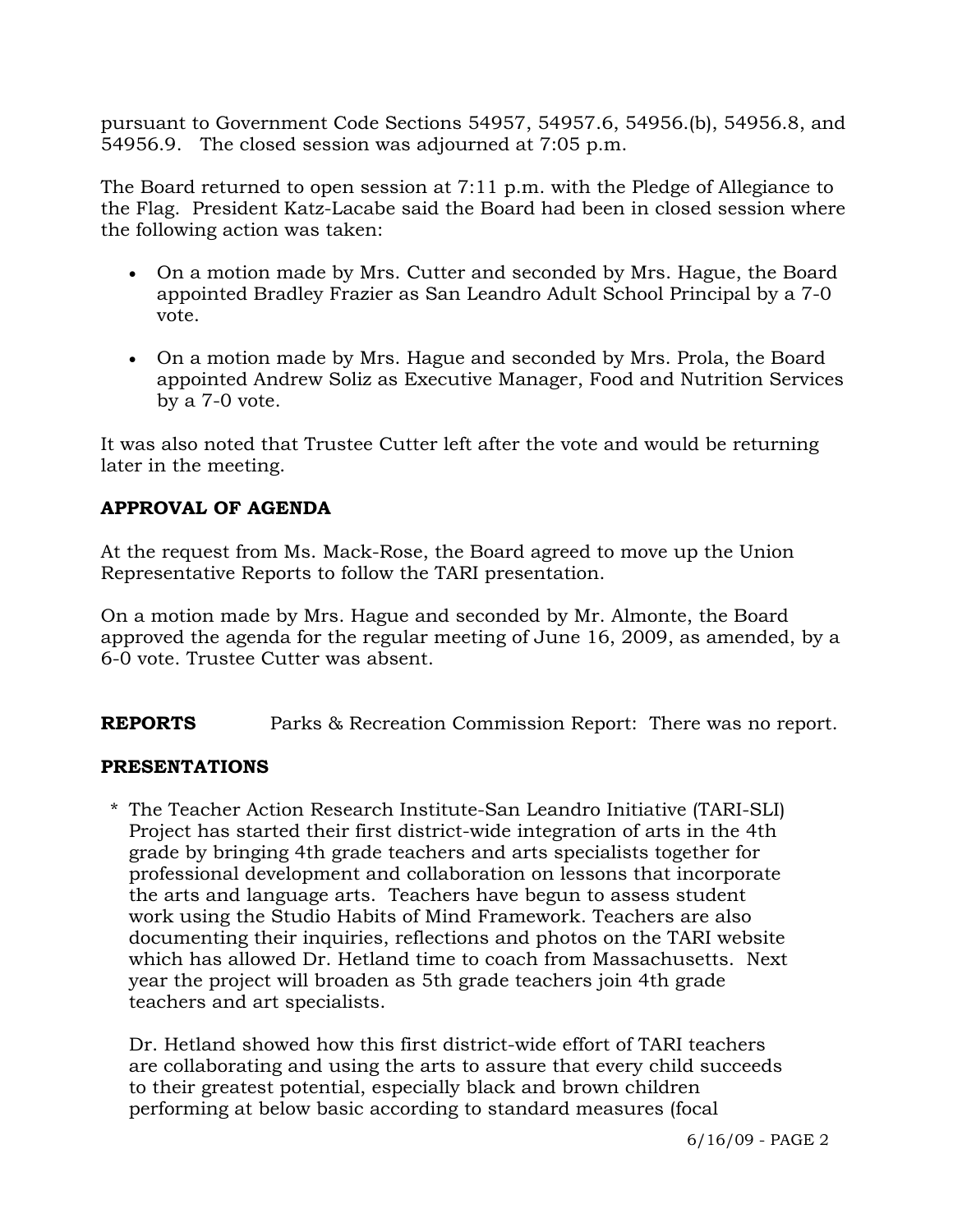pursuant to Government Code Sections 54957, 54957.6, 54956.(b), 54956.8, and 54956.9. The closed session was adjourned at 7:05 p.m.

The Board returned to open session at 7:11 p.m. with the Pledge of Allegiance to the Flag. President Katz-Lacabe said the Board had been in closed session where the following action was taken:

- On a motion made by Mrs. Cutter and seconded by Mrs. Hague, the Board appointed Bradley Frazier as San Leandro Adult School Principal by a 7-0 vote.
- On a motion made by Mrs. Hague and seconded by Mrs. Prola, the Board appointed Andrew Soliz as Executive Manager, Food and Nutrition Services by a 7-0 vote.

It was also noted that Trustee Cutter left after the vote and would be returning later in the meeting.

# **APPROVAL OF AGENDA**

At the request from Ms. Mack-Rose, the Board agreed to move up the Union Representative Reports to follow the TARI presentation.

On a motion made by Mrs. Hague and seconded by Mr. Almonte, the Board approved the agenda for the regular meeting of June 16, 2009, as amended, by a 6-0 vote. Trustee Cutter was absent.

**REPORTS** Parks & Recreation Commission Report: There was no report.

## **PRESENTATIONS**

\* The Teacher Action Research Institute-San Leandro Initiative (TARI-SLI) Project has started their first district-wide integration of arts in the 4th grade by bringing 4th grade teachers and arts specialists together for professional development and collaboration on lessons that incorporate the arts and language arts. Teachers have begun to assess student work using the Studio Habits of Mind Framework. Teachers are also documenting their inquiries, reflections and photos on the TARI website which has allowed Dr. Hetland time to coach from Massachusetts. Next year the project will broaden as 5th grade teachers join 4th grade teachers and art specialists.

 Dr. Hetland showed how this first district-wide effort of TARI teachers are collaborating and using the arts to assure that every child succeeds to their greatest potential, especially black and brown children performing at below basic according to standard measures (focal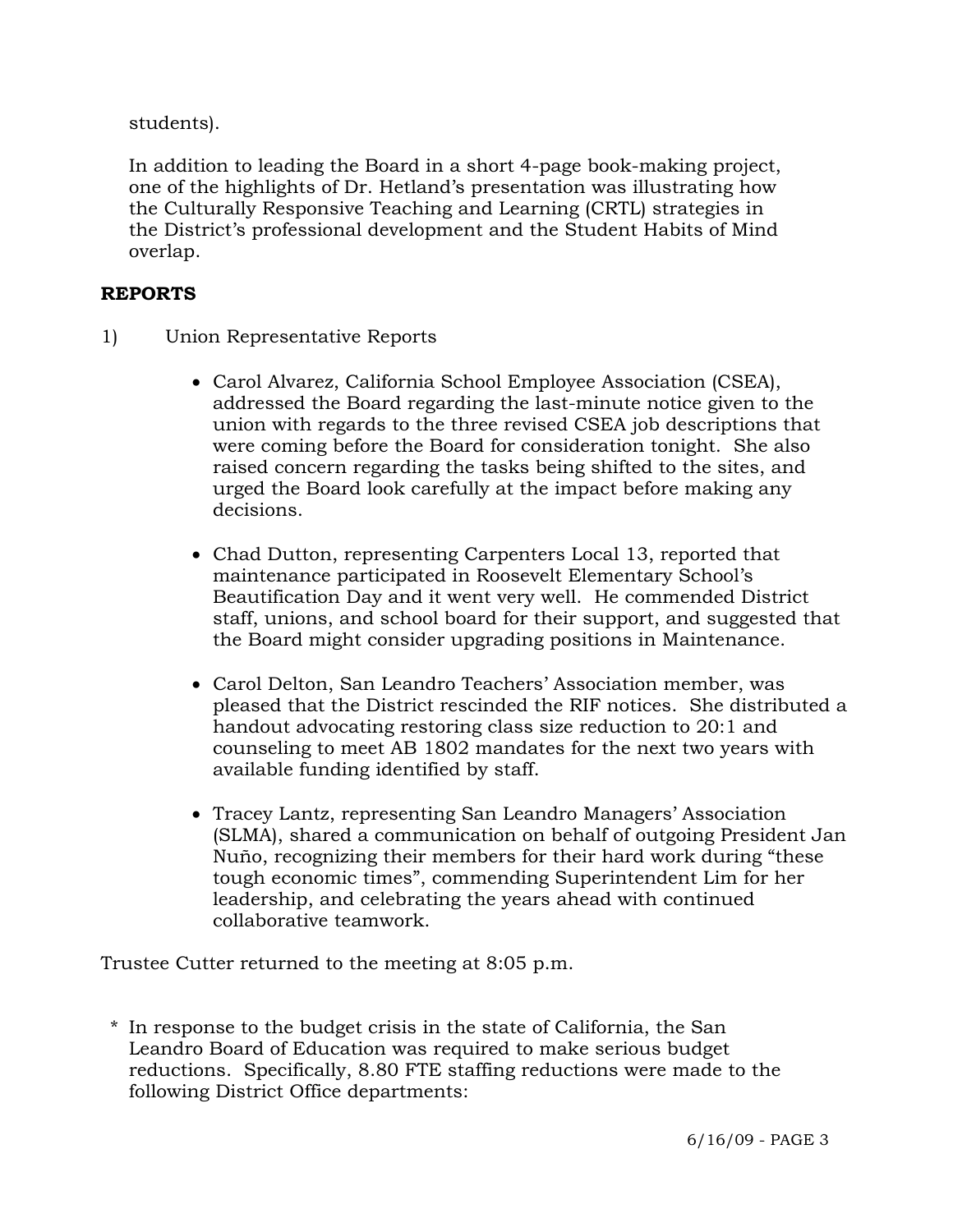students).

 In addition to leading the Board in a short 4-page book-making project, one of the highlights of Dr. Hetland's presentation was illustrating how the Culturally Responsive Teaching and Learning (CRTL) strategies in the District's professional development and the Student Habits of Mind overlap.

### **REPORTS**

- 1) Union Representative Reports
	- Carol Alvarez, California School Employee Association (CSEA), addressed the Board regarding the last-minute notice given to the union with regards to the three revised CSEA job descriptions that were coming before the Board for consideration tonight. She also raised concern regarding the tasks being shifted to the sites, and urged the Board look carefully at the impact before making any decisions.
	- Chad Dutton, representing Carpenters Local 13, reported that maintenance participated in Roosevelt Elementary School's Beautification Day and it went very well. He commended District staff, unions, and school board for their support, and suggested that the Board might consider upgrading positions in Maintenance.
	- Carol Delton, San Leandro Teachers' Association member, was pleased that the District rescinded the RIF notices. She distributed a handout advocating restoring class size reduction to 20:1 and counseling to meet AB 1802 mandates for the next two years with available funding identified by staff.
	- Tracey Lantz, representing San Leandro Managers' Association (SLMA), shared a communication on behalf of outgoing President Jan Nuño, recognizing their members for their hard work during "these tough economic times", commending Superintendent Lim for her leadership, and celebrating the years ahead with continued collaborative teamwork.

Trustee Cutter returned to the meeting at 8:05 p.m.

\* In response to the budget crisis in the state of California, the San Leandro Board of Education was required to make serious budget reductions. Specifically, 8.80 FTE staffing reductions were made to the following District Office departments: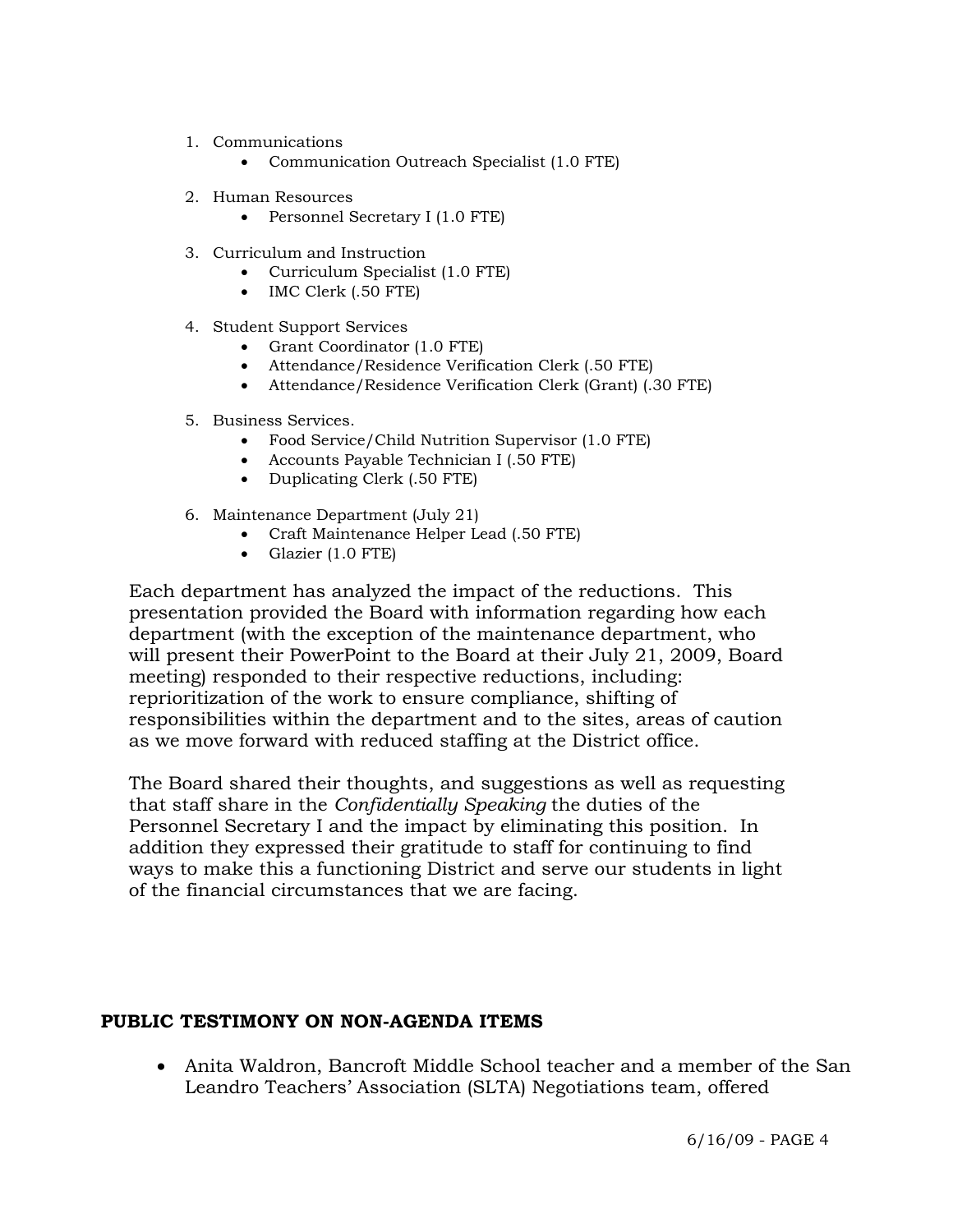- 1. Communications
	- Communication Outreach Specialist (1.0 FTE)
- 2. Human Resources
	- Personnel Secretary I (1.0 FTE)
- 3. Curriculum and Instruction
	- Curriculum Specialist (1.0 FTE)
	- IMC Clerk (.50 FTE)
- 4. Student Support Services
	- Grant Coordinator (1.0 FTE)
	- Attendance/Residence Verification Clerk (.50 FTE)
	- Attendance/Residence Verification Clerk (Grant) (.30 FTE)
- 5. Business Services.
	- Food Service/Child Nutrition Supervisor (1.0 FTE)
	- Accounts Payable Technician I (.50 FTE)
	- Duplicating Clerk (.50 FTE)
- 6. Maintenance Department (July 21)
	- Craft Maintenance Helper Lead (.50 FTE)
	- Glazier (1.0 FTE)

 Each department has analyzed the impact of the reductions. This presentation provided the Board with information regarding how each department (with the exception of the maintenance department, who will present their PowerPoint to the Board at their July 21, 2009, Board meeting) responded to their respective reductions, including: reprioritization of the work to ensure compliance, shifting of responsibilities within the department and to the sites, areas of caution as we move forward with reduced staffing at the District office.

 The Board shared their thoughts, and suggestions as well as requesting that staff share in the *Confidentially Speaking* the duties of the Personnel Secretary I and the impact by eliminating this position. In addition they expressed their gratitude to staff for continuing to find ways to make this a functioning District and serve our students in light of the financial circumstances that we are facing.

### **PUBLIC TESTIMONY ON NON-AGENDA ITEMS**

• Anita Waldron, Bancroft Middle School teacher and a member of the San Leandro Teachers' Association (SLTA) Negotiations team, offered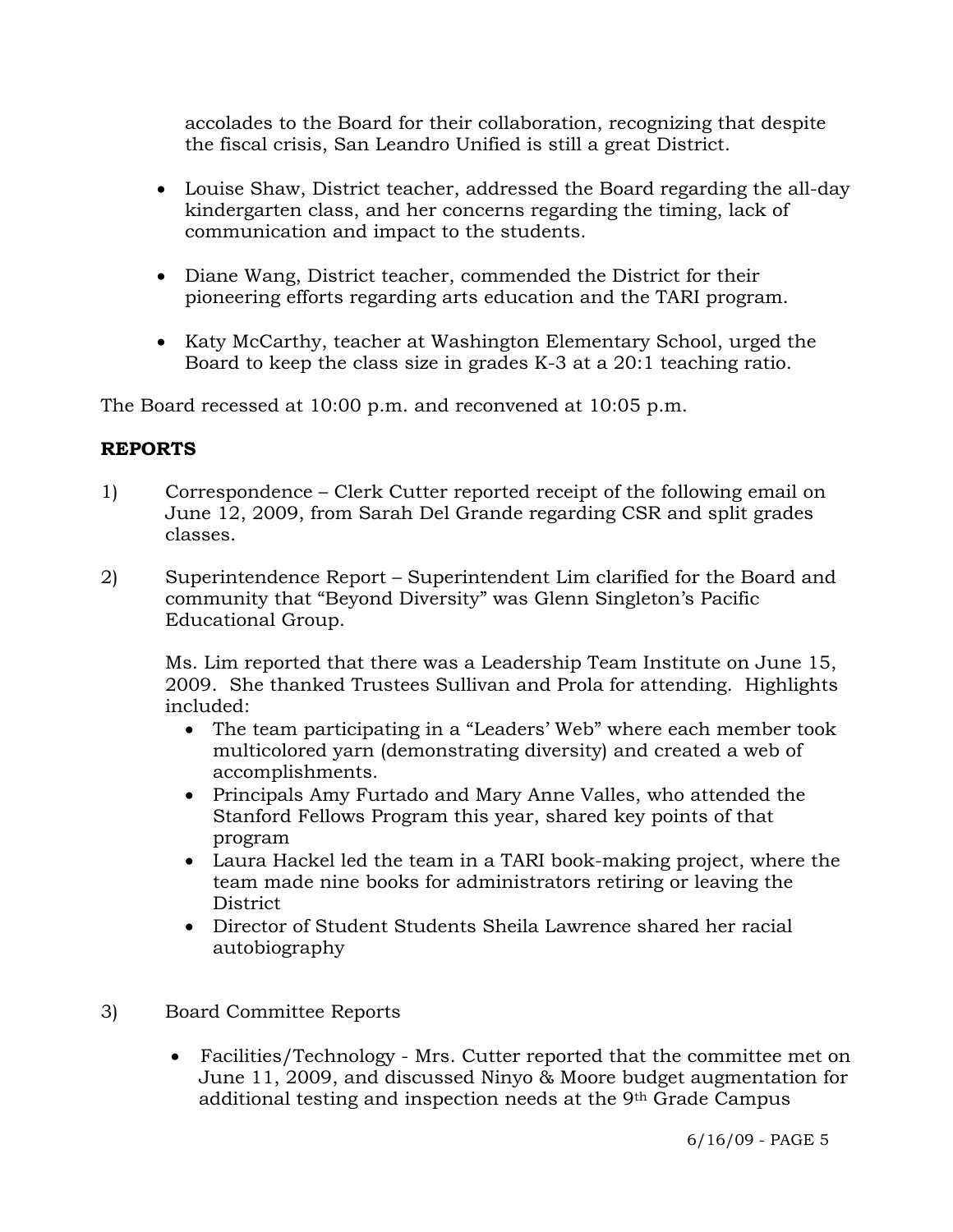accolades to the Board for their collaboration, recognizing that despite the fiscal crisis, San Leandro Unified is still a great District.

- Louise Shaw, District teacher, addressed the Board regarding the all-day kindergarten class, and her concerns regarding the timing, lack of communication and impact to the students.
- Diane Wang, District teacher, commended the District for their pioneering efforts regarding arts education and the TARI program.
- Katy McCarthy, teacher at Washington Elementary School, urged the Board to keep the class size in grades K-3 at a 20:1 teaching ratio.

The Board recessed at 10:00 p.m. and reconvened at 10:05 p.m.

# **REPORTS**

- 1) Correspondence Clerk Cutter reported receipt of the following email on June 12, 2009, from Sarah Del Grande regarding CSR and split grades classes.
- 2) Superintendence Report Superintendent Lim clarified for the Board and community that "Beyond Diversity" was Glenn Singleton's Pacific Educational Group.

Ms. Lim reported that there was a Leadership Team Institute on June 15, 2009. She thanked Trustees Sullivan and Prola for attending. Highlights included:

- The team participating in a "Leaders' Web" where each member took multicolored yarn (demonstrating diversity) and created a web of accomplishments.
- Principals Amy Furtado and Mary Anne Valles, who attended the Stanford Fellows Program this year, shared key points of that program
- Laura Hackel led the team in a TARI book-making project, where the team made nine books for administrators retiring or leaving the District
- Director of Student Students Sheila Lawrence shared her racial autobiography
- 3) Board Committee Reports
	- Facilities/Technology Mrs. Cutter reported that the committee met on June 11, 2009, and discussed Ninyo & Moore budget augmentation for additional testing and inspection needs at the 9th Grade Campus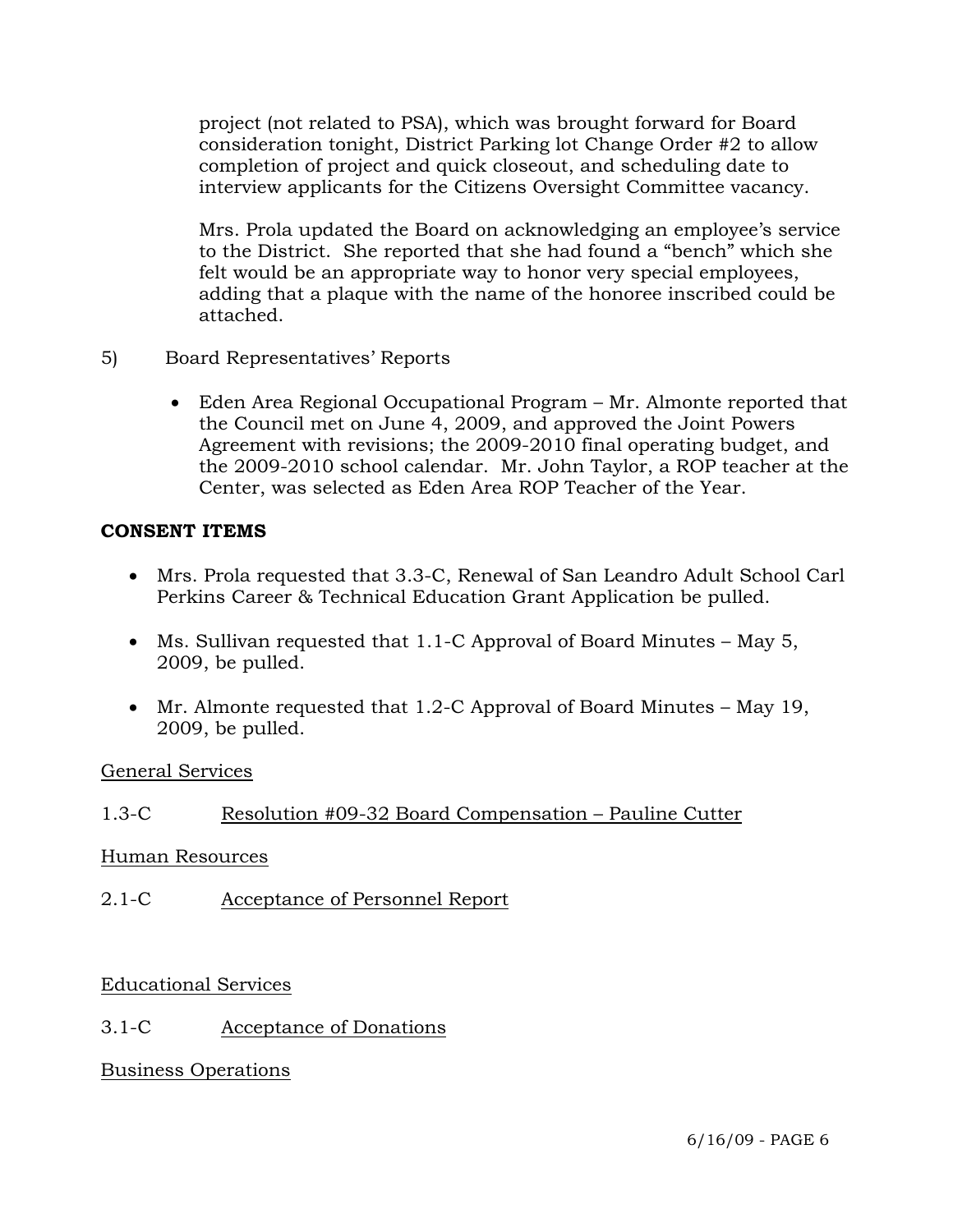project (not related to PSA), which was brought forward for Board consideration tonight, District Parking lot Change Order #2 to allow completion of project and quick closeout, and scheduling date to interview applicants for the Citizens Oversight Committee vacancy.

Mrs. Prola updated the Board on acknowledging an employee's service to the District. She reported that she had found a "bench" which she felt would be an appropriate way to honor very special employees, adding that a plaque with the name of the honoree inscribed could be attached.

- 5) Board Representatives' Reports
	- Eden Area Regional Occupational Program Mr. Almonte reported that the Council met on June 4, 2009, and approved the Joint Powers Agreement with revisions; the 2009-2010 final operating budget, and the 2009-2010 school calendar. Mr. John Taylor, a ROP teacher at the Center, was selected as Eden Area ROP Teacher of the Year.

### **CONSENT ITEMS**

- Mrs. Prola requested that 3.3-C, Renewal of San Leandro Adult School Carl Perkins Career & Technical Education Grant Application be pulled.
- Ms. Sullivan requested that 1.1-C Approval of Board Minutes May 5, 2009, be pulled.
- Mr. Almonte requested that 1.2-C Approval of Board Minutes May 19, 2009, be pulled.

#### General Services

## 1.3-C Resolution #09-32 Board Compensation – Pauline Cutter

#### Human Resources

2.1-C Acceptance of Personnel Report

#### Educational Services

## 3.1-C Acceptance of Donations

## Business Operations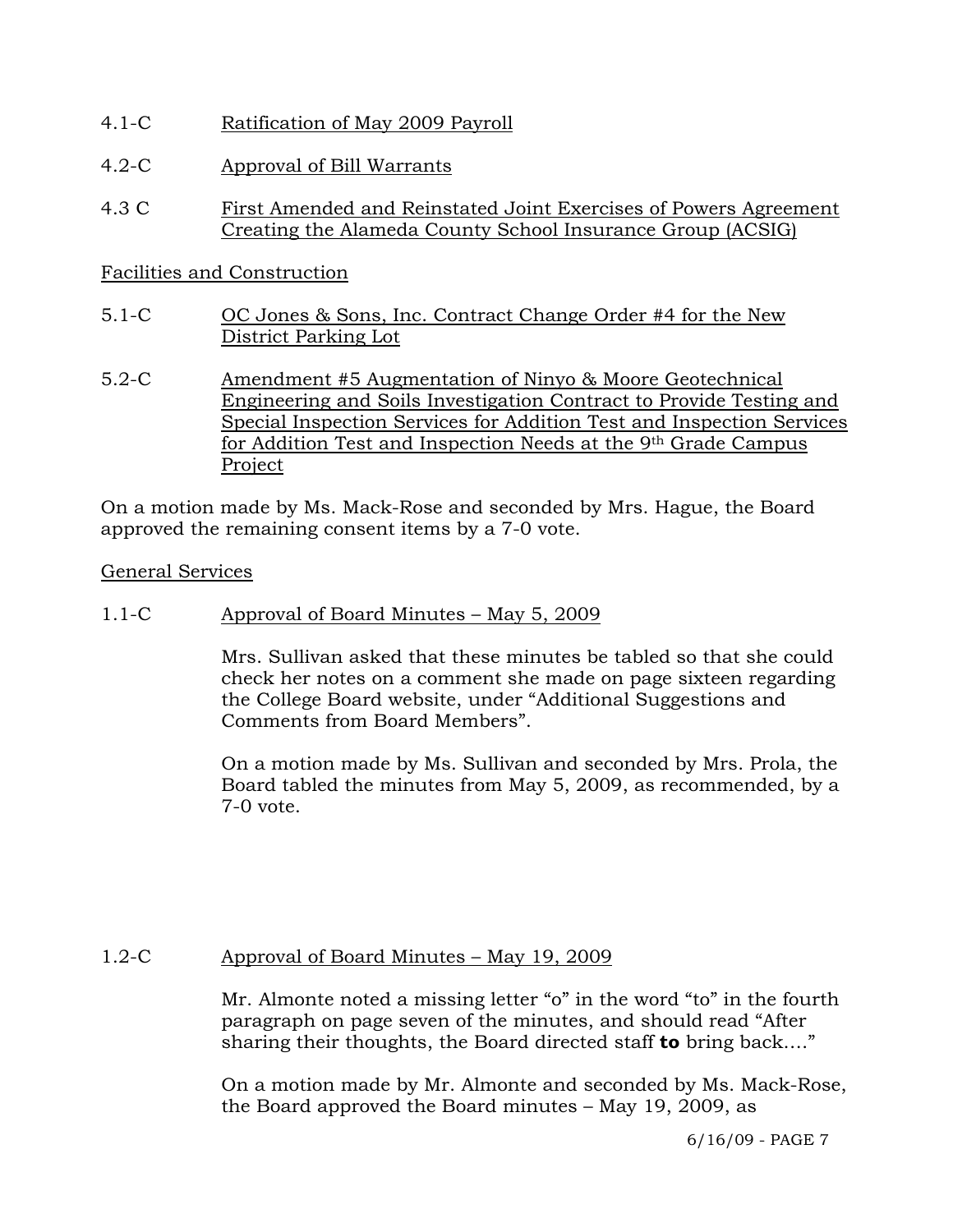- 4.1-C Ratification of May 2009 Payroll
- 4.2-C Approval of Bill Warrants
- 4.3 C First Amended and Reinstated Joint Exercises of Powers Agreement Creating the Alameda County School Insurance Group (ACSIG)

## Facilities and Construction

- 5.1-C OC Jones & Sons, Inc. Contract Change Order #4 for the New District Parking Lot
- 5.2-C Amendment #5 Augmentation of Ninyo & Moore Geotechnical Engineering and Soils Investigation Contract to Provide Testing and Special Inspection Services for Addition Test and Inspection Services for Addition Test and Inspection Needs at the 9th Grade Campus Project

On a motion made by Ms. Mack-Rose and seconded by Mrs. Hague, the Board approved the remaining consent items by a 7-0 vote.

### General Services

### 1.1-C Approval of Board Minutes – May 5, 2009

Mrs. Sullivan asked that these minutes be tabled so that she could check her notes on a comment she made on page sixteen regarding the College Board website, under "Additional Suggestions and Comments from Board Members".

On a motion made by Ms. Sullivan and seconded by Mrs. Prola, the Board tabled the minutes from May 5, 2009, as recommended, by a 7-0 vote.

## 1.2-C Approval of Board Minutes – May 19, 2009

Mr. Almonte noted a missing letter "o" in the word "to" in the fourth paragraph on page seven of the minutes, and should read "After sharing their thoughts, the Board directed staff **to** bring back…."

On a motion made by Mr. Almonte and seconded by Ms. Mack-Rose, the Board approved the Board minutes – May 19, 2009, as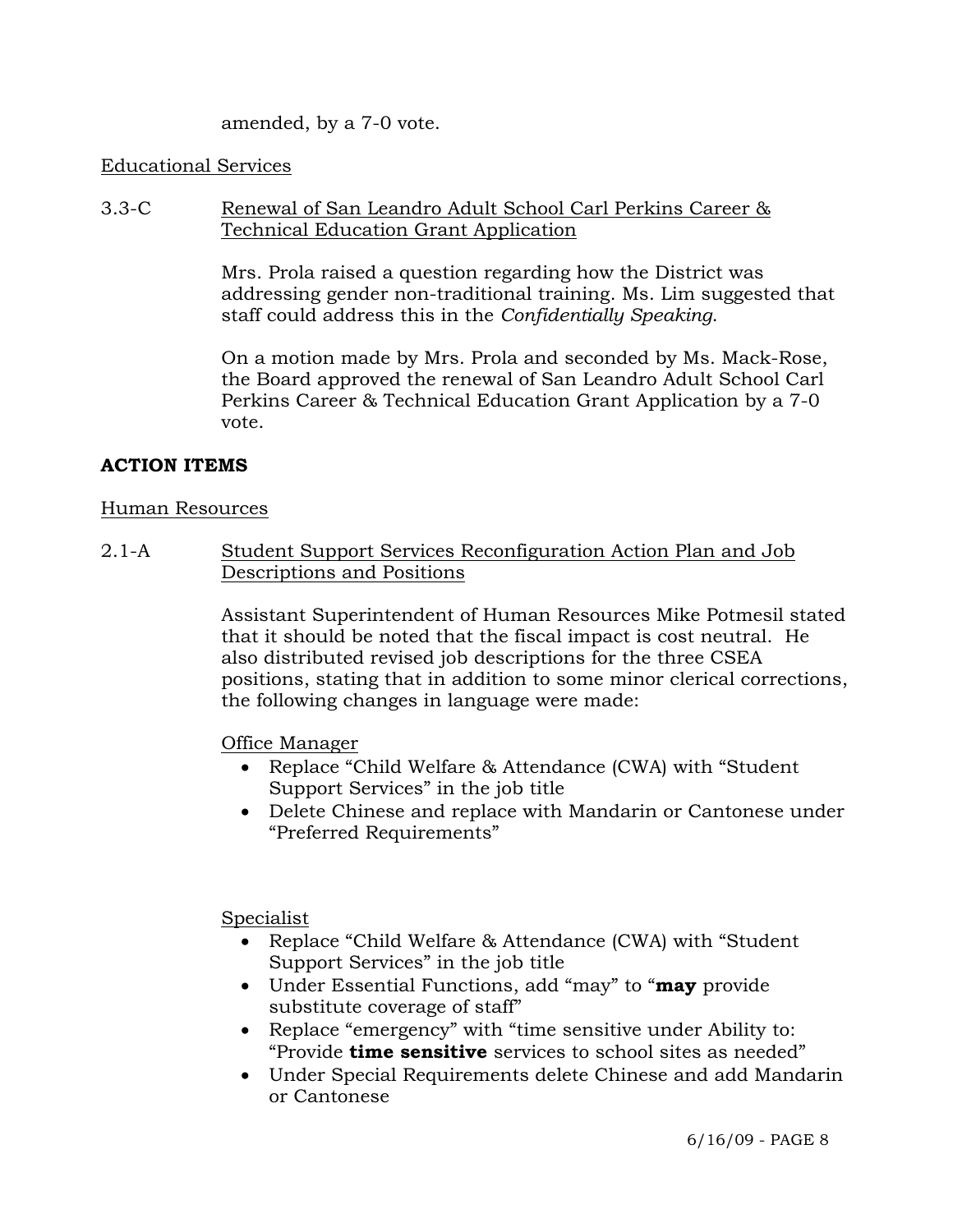amended, by a 7-0 vote.

#### Educational Services

3.3-C Renewal of San Leandro Adult School Carl Perkins Career & Technical Education Grant Application

> Mrs. Prola raised a question regarding how the District was addressing gender non-traditional training. Ms. Lim suggested that staff could address this in the *Confidentially Speaking*.

On a motion made by Mrs. Prola and seconded by Ms. Mack-Rose, the Board approved the renewal of San Leandro Adult School Carl Perkins Career & Technical Education Grant Application by a 7-0 vote.

#### **ACTION ITEMS**

#### Human Resources

2.1-A Student Support Services Reconfiguration Action Plan and Job Descriptions and Positions

> Assistant Superintendent of Human Resources Mike Potmesil stated that it should be noted that the fiscal impact is cost neutral. He also distributed revised job descriptions for the three CSEA positions, stating that in addition to some minor clerical corrections, the following changes in language were made:

Office Manager

- Replace "Child Welfare & Attendance (CWA) with "Student Support Services" in the job title
- Delete Chinese and replace with Mandarin or Cantonese under "Preferred Requirements"

Specialist

- Replace "Child Welfare & Attendance (CWA) with "Student Support Services" in the job title
- Under Essential Functions, add "may" to "**may** provide substitute coverage of staff"
- Replace "emergency" with "time sensitive under Ability to: "Provide **time sensitive** services to school sites as needed"
- Under Special Requirements delete Chinese and add Mandarin or Cantonese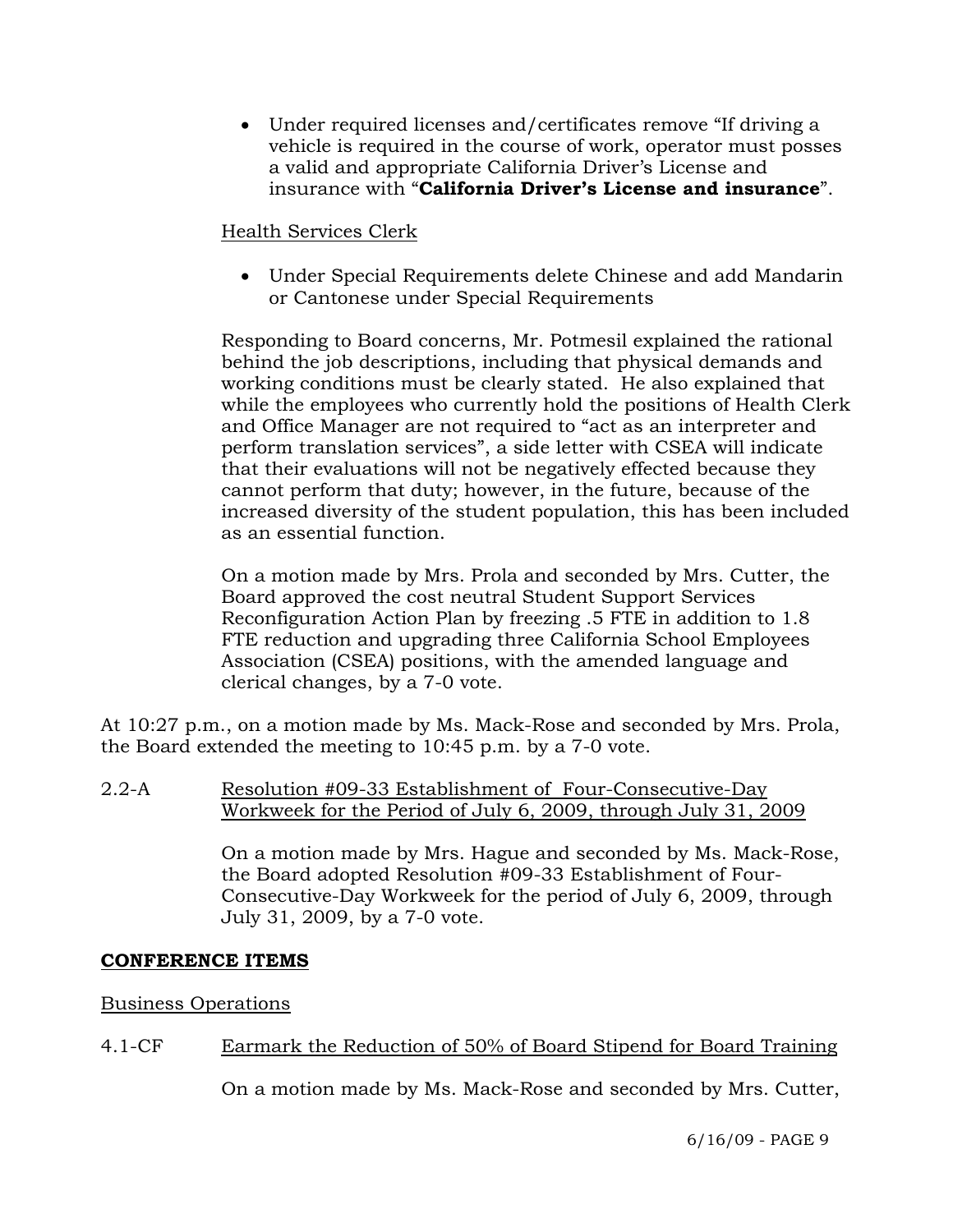• Under required licenses and/certificates remove "If driving a vehicle is required in the course of work, operator must posses a valid and appropriate California Driver's License and insurance with "**California Driver's License and insurance**".

## Health Services Clerk

• Under Special Requirements delete Chinese and add Mandarin or Cantonese under Special Requirements

Responding to Board concerns, Mr. Potmesil explained the rational behind the job descriptions, including that physical demands and working conditions must be clearly stated. He also explained that while the employees who currently hold the positions of Health Clerk and Office Manager are not required to "act as an interpreter and perform translation services", a side letter with CSEA will indicate that their evaluations will not be negatively effected because they cannot perform that duty; however, in the future, because of the increased diversity of the student population, this has been included as an essential function.

On a motion made by Mrs. Prola and seconded by Mrs. Cutter, the Board approved the cost neutral Student Support Services Reconfiguration Action Plan by freezing .5 FTE in addition to 1.8 FTE reduction and upgrading three California School Employees Association (CSEA) positions, with the amended language and clerical changes, by a 7-0 vote.

At 10:27 p.m., on a motion made by Ms. Mack-Rose and seconded by Mrs. Prola, the Board extended the meeting to 10:45 p.m. by a 7-0 vote.

2.2-A Resolution #09-33 Establishment of Four-Consecutive-Day Workweek for the Period of July 6, 2009, through July 31, 2009

> On a motion made by Mrs. Hague and seconded by Ms. Mack-Rose, the Board adopted Resolution #09-33 Establishment of Four-Consecutive-Day Workweek for the period of July 6, 2009, through July 31, 2009, by a 7-0 vote.

## **CONFERENCE ITEMS**

#### Business Operations

## 4.1-CF Earmark the Reduction of 50% of Board Stipend for Board Training

On a motion made by Ms. Mack-Rose and seconded by Mrs. Cutter,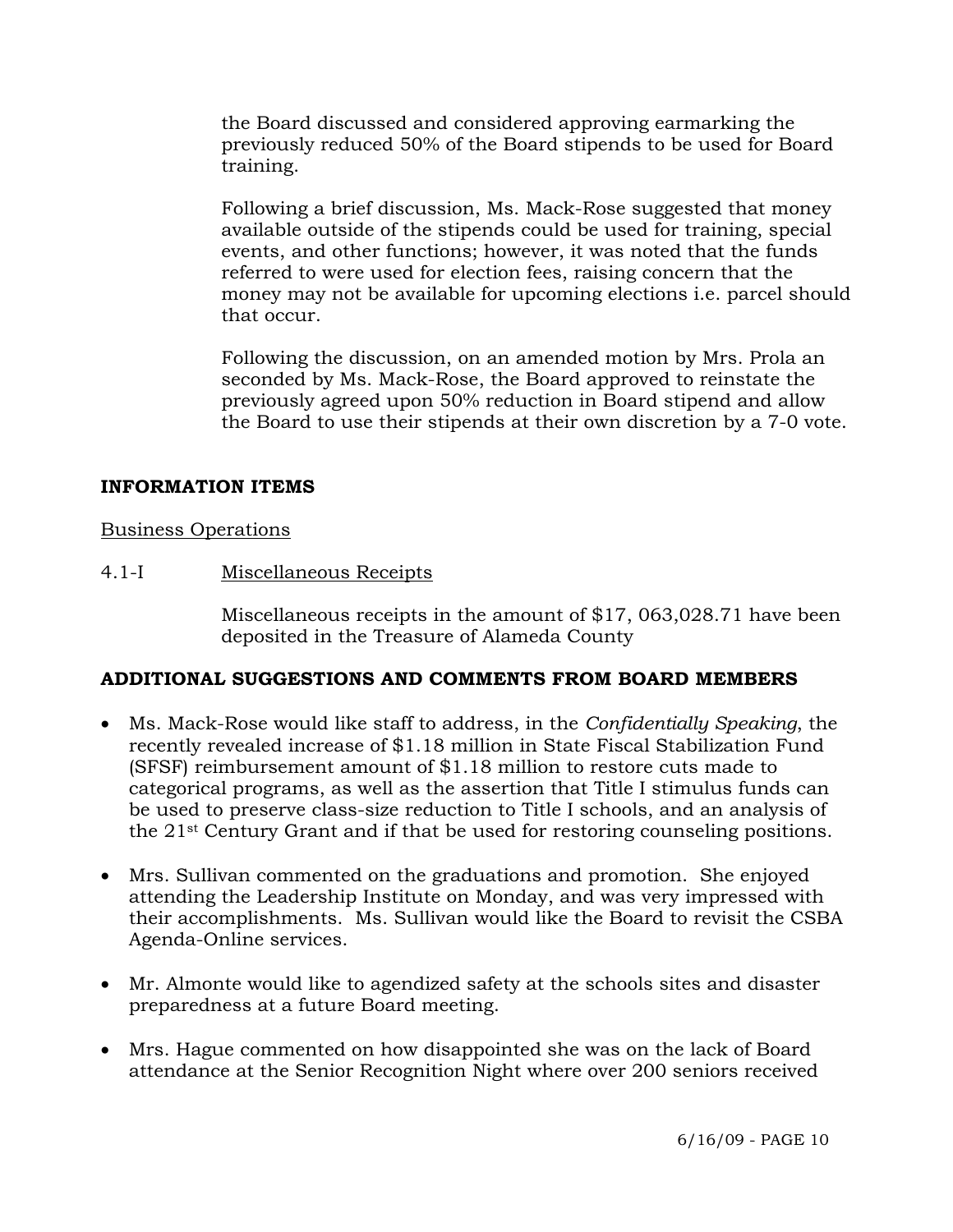the Board discussed and considered approving earmarking the previously reduced 50% of the Board stipends to be used for Board training.

Following a brief discussion, Ms. Mack-Rose suggested that money available outside of the stipends could be used for training, special events, and other functions; however, it was noted that the funds referred to were used for election fees, raising concern that the money may not be available for upcoming elections i.e. parcel should that occur.

Following the discussion, on an amended motion by Mrs. Prola an seconded by Ms. Mack-Rose, the Board approved to reinstate the previously agreed upon 50% reduction in Board stipend and allow the Board to use their stipends at their own discretion by a 7-0 vote.

### **INFORMATION ITEMS**

#### Business Operations

### 4.1-I Miscellaneous Receipts

Miscellaneous receipts in the amount of \$17, 063,028.71 have been deposited in the Treasure of Alameda County

## **ADDITIONAL SUGGESTIONS AND COMMENTS FROM BOARD MEMBERS**

- Ms. Mack-Rose would like staff to address, in the *Confidentially Speaking*, the recently revealed increase of \$1.18 million in State Fiscal Stabilization Fund (SFSF) reimbursement amount of \$1.18 million to restore cuts made to categorical programs, as well as the assertion that Title I stimulus funds can be used to preserve class-size reduction to Title I schools, and an analysis of the 21st Century Grant and if that be used for restoring counseling positions.
- Mrs. Sullivan commented on the graduations and promotion. She enjoyed attending the Leadership Institute on Monday, and was very impressed with their accomplishments. Ms. Sullivan would like the Board to revisit the CSBA Agenda-Online services.
- Mr. Almonte would like to agendized safety at the schools sites and disaster preparedness at a future Board meeting.
- Mrs. Hague commented on how disappointed she was on the lack of Board attendance at the Senior Recognition Night where over 200 seniors received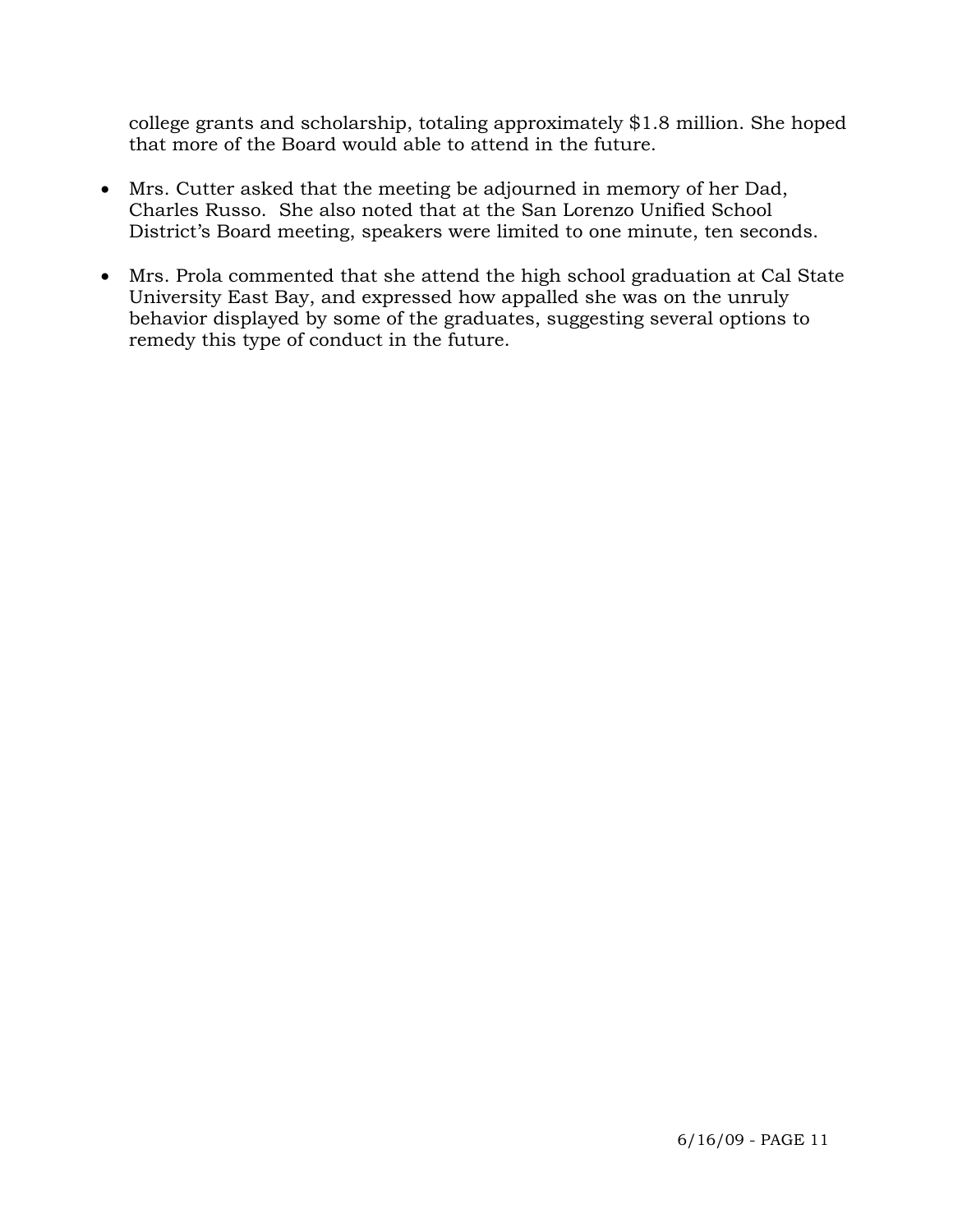college grants and scholarship, totaling approximately \$1.8 million. She hoped that more of the Board would able to attend in the future.

- Mrs. Cutter asked that the meeting be adjourned in memory of her Dad, Charles Russo. She also noted that at the San Lorenzo Unified School District's Board meeting, speakers were limited to one minute, ten seconds.
- Mrs. Prola commented that she attend the high school graduation at Cal State University East Bay, and expressed how appalled she was on the unruly behavior displayed by some of the graduates, suggesting several options to remedy this type of conduct in the future.